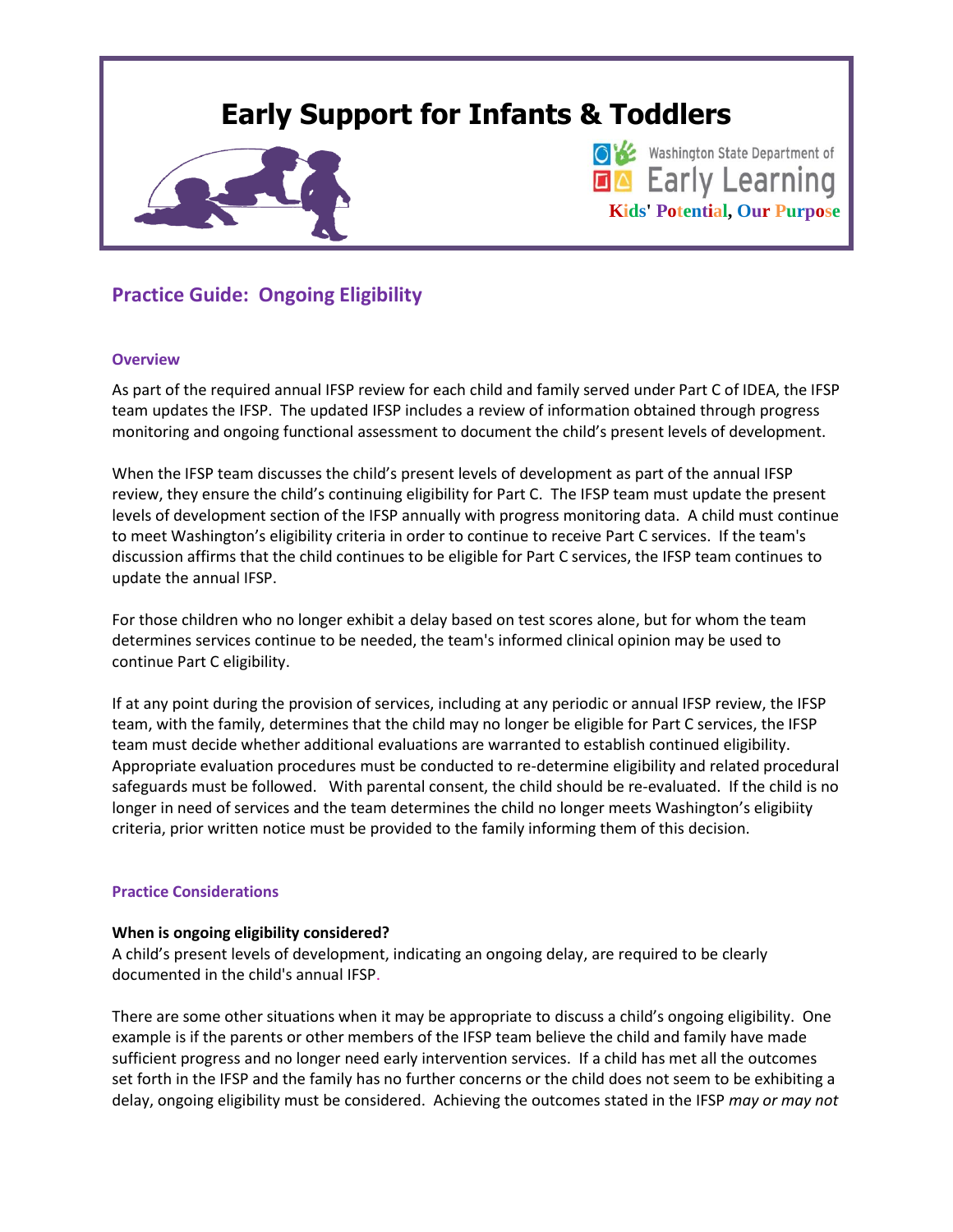# **Early Support for Infants & Toddlers**



**O K** Washington State Department of **DA** Early Learning **Kids' Potential, Our Purpose**

## **Practice Guide: Ongoing Eligibility**

#### **Overview**

As part of the required annual IFSP review for each child and family served under Part C of IDEA, the IFSP team updates the IFSP. The updated IFSP includes a review of information obtained through progress monitoring and ongoing functional assessment to document the child's present levels of development.

When the IFSP team discusses the child's present levels of development as part of the annual IFSP review, they ensure the child's continuing eligibility for Part C. The IFSP team must update the present levels of development section of the IFSP annually with progress monitoring data. A child must continue to meet Washington's eligibility criteria in order to continue to receive Part C services. If the team's discussion affirms that the child continues to be eligible for Part C services, the IFSP team continues to update the annual IFSP.

For those children who no longer exhibit a delay based on test scores alone, but for whom the team determines services continue to be needed, the team's informed clinical opinion may be used to continue Part C eligibility.

If at any point during the provision of services, including at any periodic or annual IFSP review, the IFSP team, with the family, determines that the child may no longer be eligible for Part C services, the IFSP team must decide whether additional evaluations are warranted to establish continued eligibility. Appropriate evaluation procedures must be conducted to re-determine eligibility and related procedural safeguards must be followed. With parental consent, the child should be re-evaluated. If the child is no longer in need of services and the team determines the child no longer meets Washington's eligibiity criteria, prior written notice must be provided to the family informing them of this decision.

#### **Practice Considerations**

#### **When is ongoing eligibility considered?**

A child's present levels of development, indicating an ongoing delay, are required to be clearly documented in the child's annual IFSP.

There are some other situations when it may be appropriate to discuss a child's ongoing eligibility. One example is if the parents or other members of the IFSP team believe the child and family have made sufficient progress and no longer need early intervention services. If a child has met all the outcomes set forth in the IFSP and the family has no further concerns or the child does not seem to be exhibiting a delay, ongoing eligibility must be considered. Achieving the outcomes stated in the IFSP *may or may not*